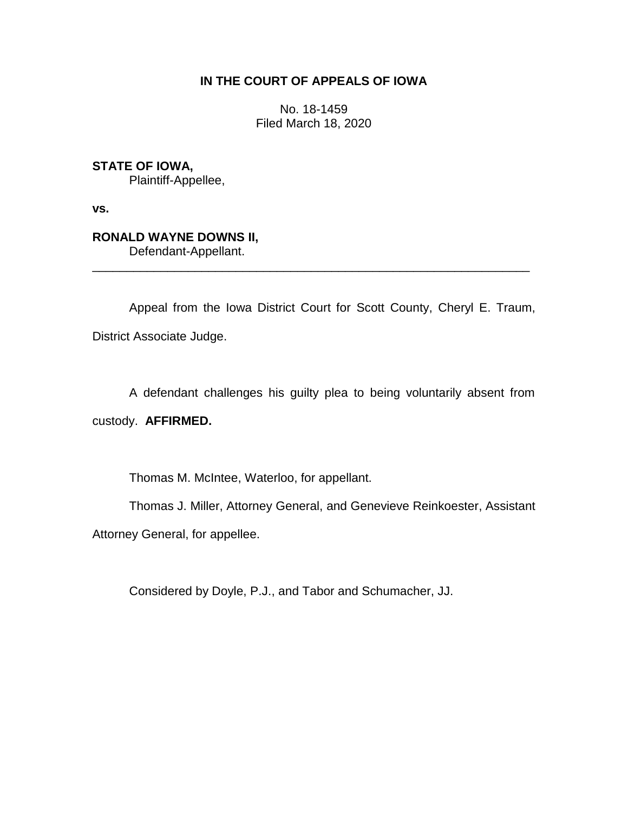## **IN THE COURT OF APPEALS OF IOWA**

No. 18-1459 Filed March 18, 2020

**STATE OF IOWA,**

Plaintiff-Appellee,

**vs.**

# **RONALD WAYNE DOWNS II,**

Defendant-Appellant.

Appeal from the Iowa District Court for Scott County, Cheryl E. Traum, District Associate Judge.

\_\_\_\_\_\_\_\_\_\_\_\_\_\_\_\_\_\_\_\_\_\_\_\_\_\_\_\_\_\_\_\_\_\_\_\_\_\_\_\_\_\_\_\_\_\_\_\_\_\_\_\_\_\_\_\_\_\_\_\_\_\_\_\_

A defendant challenges his guilty plea to being voluntarily absent from

custody. **AFFIRMED.**

Thomas M. McIntee, Waterloo, for appellant.

Thomas J. Miller, Attorney General, and Genevieve Reinkoester, Assistant

Attorney General, for appellee.

Considered by Doyle, P.J., and Tabor and Schumacher, JJ.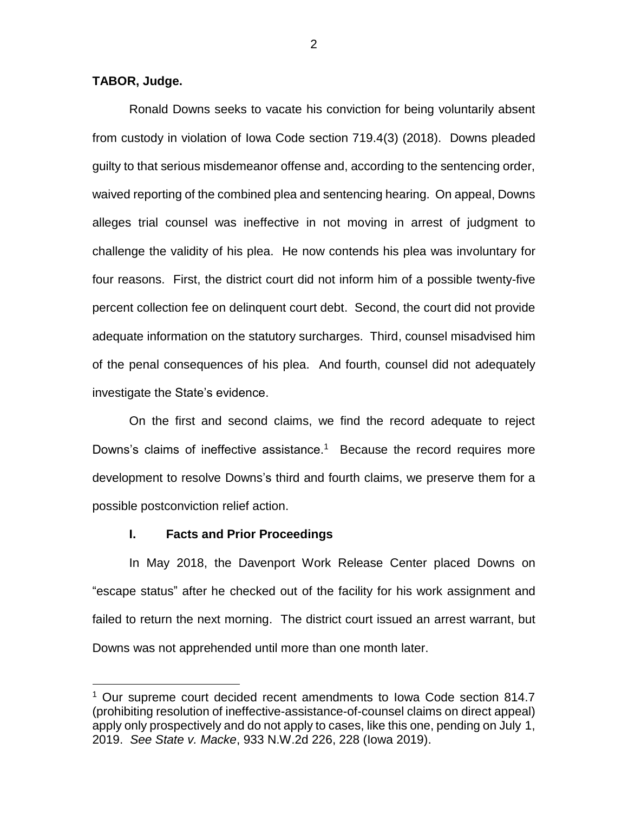### **TABOR, Judge.**

 $\overline{a}$ 

Ronald Downs seeks to vacate his conviction for being voluntarily absent from custody in violation of Iowa Code section 719.4(3) (2018). Downs pleaded guilty to that serious misdemeanor offense and, according to the sentencing order, waived reporting of the combined plea and sentencing hearing. On appeal, Downs alleges trial counsel was ineffective in not moving in arrest of judgment to challenge the validity of his plea. He now contends his plea was involuntary for four reasons. First, the district court did not inform him of a possible twenty-five percent collection fee on delinquent court debt. Second, the court did not provide adequate information on the statutory surcharges. Third, counsel misadvised him of the penal consequences of his plea. And fourth, counsel did not adequately investigate the State's evidence.

On the first and second claims, we find the record adequate to reject Downs's claims of ineffective assistance.<sup>1</sup> Because the record requires more development to resolve Downs's third and fourth claims, we preserve them for a possible postconviction relief action.

#### **I. Facts and Prior Proceedings**

In May 2018, the Davenport Work Release Center placed Downs on "escape status" after he checked out of the facility for his work assignment and failed to return the next morning. The district court issued an arrest warrant, but Downs was not apprehended until more than one month later.

2

<sup>&</sup>lt;sup>1</sup> Our supreme court decided recent amendments to Iowa Code section 814.7 (prohibiting resolution of ineffective-assistance-of-counsel claims on direct appeal) apply only prospectively and do not apply to cases, like this one, pending on July 1, 2019. *See State v. Macke*, 933 N.W.2d 226, 228 (Iowa 2019).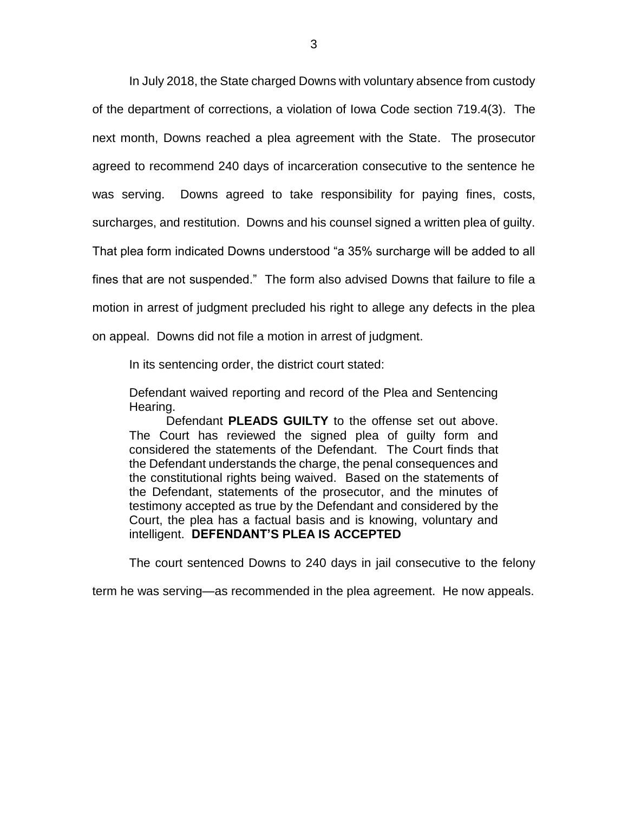In July 2018, the State charged Downs with voluntary absence from custody of the department of corrections, a violation of Iowa Code section 719.4(3). The next month, Downs reached a plea agreement with the State. The prosecutor agreed to recommend 240 days of incarceration consecutive to the sentence he was serving. Downs agreed to take responsibility for paying fines, costs, surcharges, and restitution. Downs and his counsel signed a written plea of guilty. That plea form indicated Downs understood "a 35% surcharge will be added to all fines that are not suspended." The form also advised Downs that failure to file a motion in arrest of judgment precluded his right to allege any defects in the plea on appeal. Downs did not file a motion in arrest of judgment.

In its sentencing order, the district court stated:

Defendant waived reporting and record of the Plea and Sentencing Hearing.

Defendant **PLEADS GUILTY** to the offense set out above. The Court has reviewed the signed plea of guilty form and considered the statements of the Defendant. The Court finds that the Defendant understands the charge, the penal consequences and the constitutional rights being waived. Based on the statements of the Defendant, statements of the prosecutor, and the minutes of testimony accepted as true by the Defendant and considered by the Court, the plea has a factual basis and is knowing, voluntary and intelligent. **DEFENDANT'S PLEA IS ACCEPTED**

The court sentenced Downs to 240 days in jail consecutive to the felony

term he was serving—as recommended in the plea agreement. He now appeals.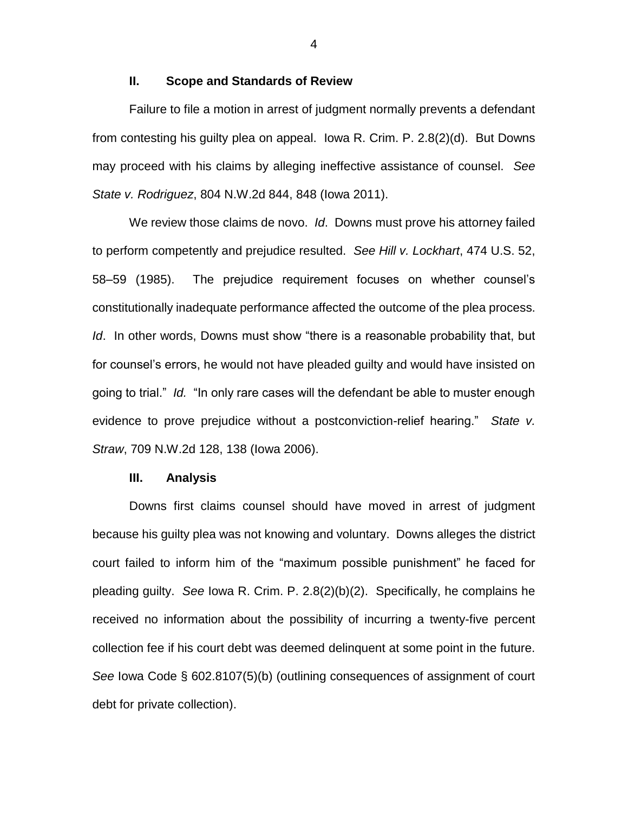### **II. Scope and Standards of Review**

Failure to file a motion in arrest of judgment normally prevents a defendant from contesting his guilty plea on appeal. Iowa R. Crim. P. 2.8(2)(d). But Downs may proceed with his claims by alleging ineffective assistance of counsel. *See State v. Rodriguez*, 804 N.W.2d 844, 848 (Iowa 2011).

We review those claims de novo. *Id*. Downs must prove his attorney failed to perform competently and prejudice resulted. *See Hill v. Lockhart*, 474 U.S. 52, 58–59 (1985). The prejudice requirement focuses on whether counsel's constitutionally inadequate performance affected the outcome of the plea process. *Id*. In other words, Downs must show "there is a reasonable probability that, but for counsel's errors, he would not have pleaded guilty and would have insisted on going to trial." *Id.* "In only rare cases will the defendant be able to muster enough evidence to prove prejudice without a postconviction-relief hearing." *State v. Straw*, 709 N.W.2d 128, 138 (Iowa 2006).

#### **III. Analysis**

Downs first claims counsel should have moved in arrest of judgment because his guilty plea was not knowing and voluntary. Downs alleges the district court failed to inform him of the "maximum possible punishment" he faced for pleading guilty. *See* Iowa R. Crim. P. 2.8(2)(b)(2). Specifically, he complains he received no information about the possibility of incurring a twenty-five percent collection fee if his court debt was deemed delinquent at some point in the future. *See* Iowa Code § 602.8107(5)(b) (outlining consequences of assignment of court debt for private collection).

4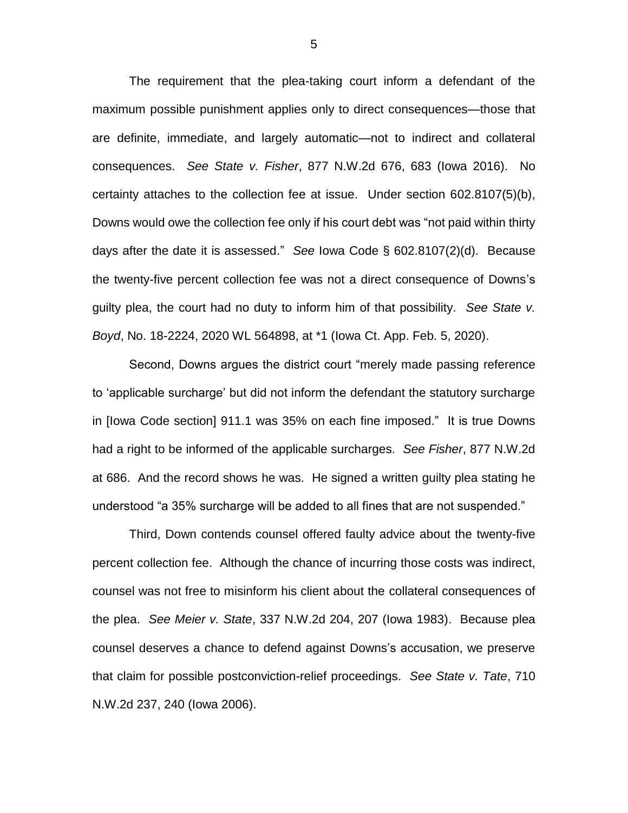The requirement that the plea-taking court inform a defendant of the maximum possible punishment applies only to direct consequences—those that are definite, immediate, and largely automatic—not to indirect and collateral consequences. *See State v. Fisher*, 877 N.W.2d 676, 683 (Iowa 2016). No certainty attaches to the collection fee at issue. Under section 602.8107(5)(b), Downs would owe the collection fee only if his court debt was "not paid within thirty days after the date it is assessed." *See* Iowa Code § 602.8107(2)(d). Because the twenty-five percent collection fee was not a direct consequence of Downs's guilty plea, the court had no duty to inform him of that possibility. *See State v. Boyd*, No. 18-2224, 2020 WL 564898, at \*1 (Iowa Ct. App. Feb. 5, 2020).

Second, Downs argues the district court "merely made passing reference to 'applicable surcharge' but did not inform the defendant the statutory surcharge in [Iowa Code section] 911.1 was 35% on each fine imposed." It is true Downs had a right to be informed of the applicable surcharges. *See Fisher*, 877 N.W.2d at 686. And the record shows he was. He signed a written guilty plea stating he understood "a 35% surcharge will be added to all fines that are not suspended."

Third, Down contends counsel offered faulty advice about the twenty-five percent collection fee. Although the chance of incurring those costs was indirect, counsel was not free to misinform his client about the collateral consequences of the plea. *See Meier v. State*, 337 N.W.2d 204, 207 (Iowa 1983). Because plea counsel deserves a chance to defend against Downs's accusation, we preserve that claim for possible postconviction-relief proceedings. *See State v. Tate*, 710 N.W.2d 237, 240 (Iowa 2006).